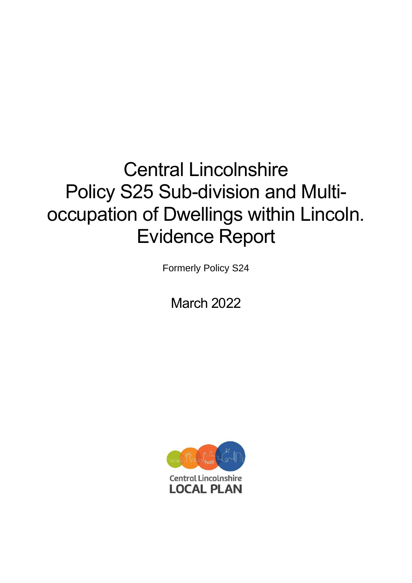# Central Lincolnshire Policy S25 Sub-division and Multioccupation of Dwellings within Lincoln. Evidence Report

Formerly Policy S24

March 2022

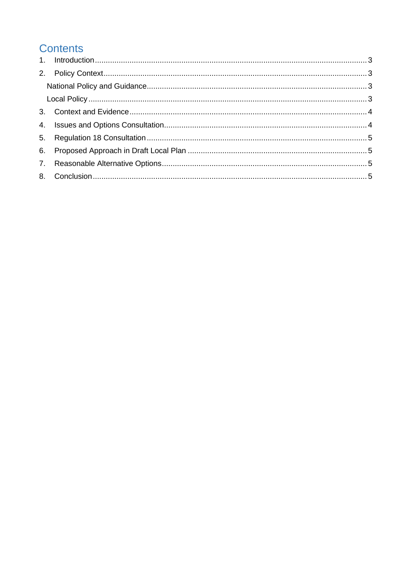# **Contents**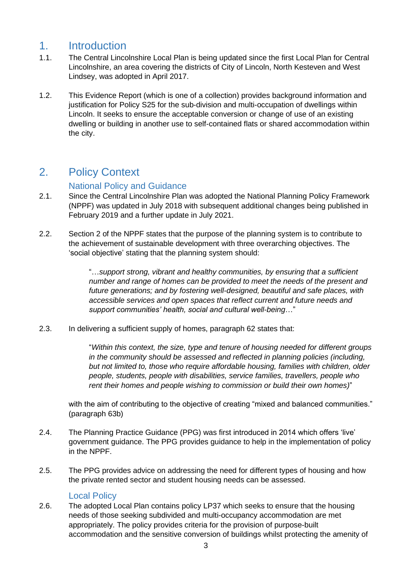#### <span id="page-2-0"></span>1. Introduction

- 1.1. The Central Lincolnshire Local Plan is being updated since the first Local Plan for Central Lincolnshire, an area covering the districts of City of Lincoln, North Kesteven and West Lindsey, was adopted in April 2017.
- 1.2. This Evidence Report (which is one of a collection) provides background information and justification for Policy S25 for the sub-division and multi-occupation of dwellings within Lincoln. It seeks to ensure the acceptable conversion or change of use of an existing dwelling or building in another use to self-contained flats or shared accommodation within the city.

# <span id="page-2-1"></span>2. Policy Context

#### National Policy and Guidance

- <span id="page-2-2"></span>2.1. Since the Central Lincolnshire Plan was adopted the National Planning Policy Framework (NPPF) was updated in July 2018 with subsequent additional changes being published in February 2019 and a further update in July 2021.
- 2.2. Section 2 of the NPPF states that the purpose of the planning system is to contribute to the achievement of sustainable development with three overarching objectives. The 'social objective' stating that the planning system should:

"…*support strong, vibrant and healthy communities, by ensuring that a sufficient number and range of homes can be provided to meet the needs of the present and future generations; and by fostering well-designed, beautiful and safe places, with accessible services and open spaces that reflect current and future needs and support communities' health, social and cultural well-being*…"

2.3. In delivering a sufficient supply of homes, paragraph 62 states that:

"*Within this context, the size, type and tenure of housing needed for different groups in the community should be assessed and reflected in planning policies (including, but not limited to, those who require affordable housing, families with children, older people, students, people with disabilities, service families, travellers, people who rent their homes and people wishing to commission or build their own homes)*"

with the aim of contributing to the objective of creating "mixed and balanced communities." (paragraph 63b)

- 2.4. The Planning Practice Guidance (PPG) was first introduced in 2014 which offers 'live' government guidance. The PPG provides guidance to help in the implementation of policy in the NPPF.
- 2.5. The PPG provides advice on addressing the need for different types of housing and how the private rented sector and student housing needs can be assessed.

#### Local Policy

<span id="page-2-3"></span>2.6. The adopted Local Plan contains policy LP37 which seeks to ensure that the housing needs of those seeking subdivided and multi-occupancy accommodation are met appropriately. The policy provides criteria for the provision of purpose-built accommodation and the sensitive conversion of buildings whilst protecting the amenity of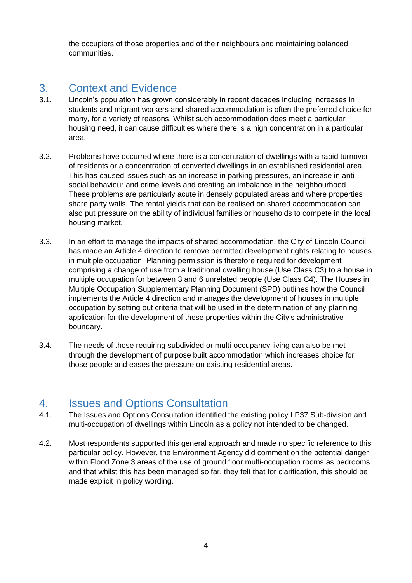the occupiers of those properties and of their neighbours and maintaining balanced communities.

## <span id="page-3-0"></span>3. Context and Evidence

- 3.1. Lincoln's population has grown considerably in recent decades including increases in students and migrant workers and shared accommodation is often the preferred choice for many, for a variety of reasons. Whilst such accommodation does meet a particular housing need, it can cause difficulties where there is a high concentration in a particular area.
- 3.2. Problems have occurred where there is a concentration of dwellings with a rapid turnover of residents or a concentration of converted dwellings in an established residential area. This has caused issues such as an increase in parking pressures, an increase in antisocial behaviour and crime levels and creating an imbalance in the neighbourhood. These problems are particularly acute in densely populated areas and where properties share party walls. The rental yields that can be realised on shared accommodation can also put pressure on the ability of individual families or households to compete in the local housing market.
- 3.3. In an effort to manage the impacts of shared accommodation, the City of Lincoln Council has made an Article 4 direction to remove permitted development rights relating to houses in multiple occupation. Planning permission is therefore required for development comprising a change of use from a traditional dwelling house (Use Class C3) to a house in multiple occupation for between 3 and 6 unrelated people (Use Class C4). The Houses in Multiple Occupation Supplementary Planning Document (SPD) outlines how the Council implements the Article 4 direction and manages the development of houses in multiple occupation by setting out criteria that will be used in the determination of any planning application for the development of these properties within the City's administrative boundary.
- 3.4. The needs of those requiring subdivided or multi-occupancy living can also be met through the development of purpose built accommodation which increases choice for those people and eases the pressure on existing residential areas.

#### <span id="page-3-1"></span>4. Issues and Options Consultation

- 4.1. The Issues and Options Consultation identified the existing policy LP37:Sub-division and multi-occupation of dwellings within Lincoln as a policy not intended to be changed.
- 4.2. Most respondents supported this general approach and made no specific reference to this particular policy. However, the Environment Agency did comment on the potential danger within Flood Zone 3 areas of the use of ground floor multi-occupation rooms as bedrooms and that whilst this has been managed so far, they felt that for clarification, this should be made explicit in policy wording.